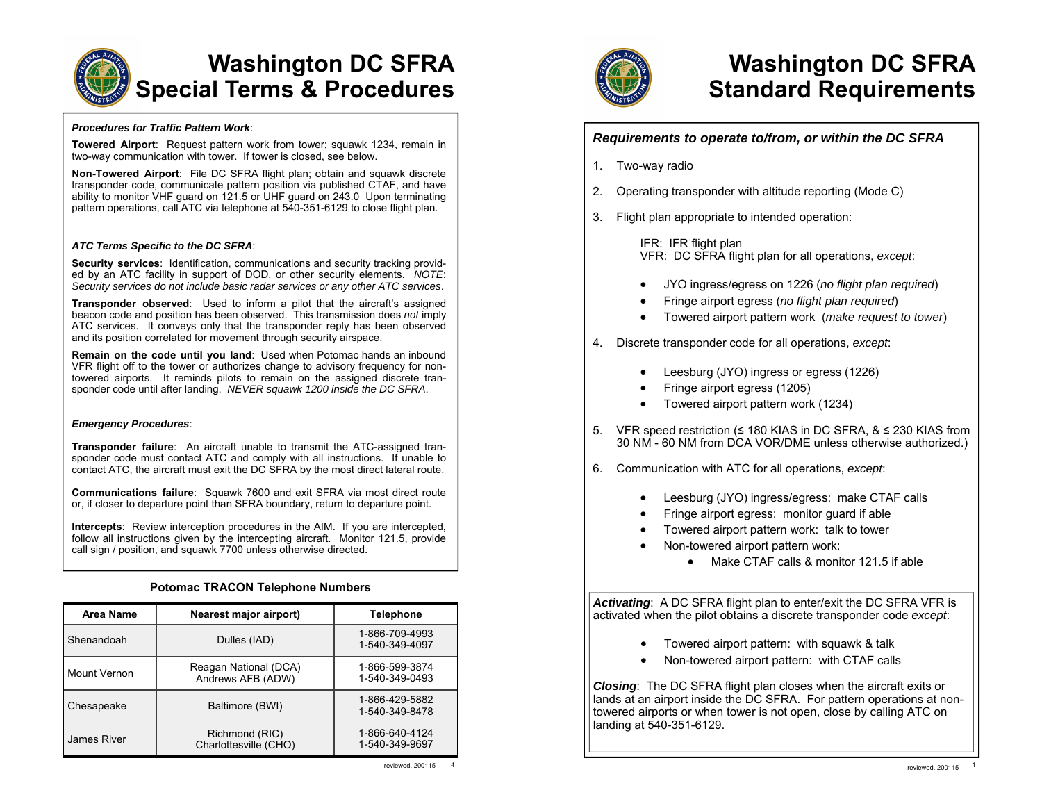

#### *Procedures for Traffic Pattern Work*:

**Towered Airport**: Request pattern work from tower; squawk 1234, remain in two-way communication with tower. If tower is closed, see below.

**Non-Towered Airport**: File DC SFRA flight plan; obtain and squawk discrete transponder code, communicate pattern position via published CTAF, and have ability to monitor VHF guard on 121.5 or UHF guard on 243.0 Upon terminating pattern operations, call ATC via telephone at 540-351-6129 to close flight plan.

#### *ATC Terms Specific to the DC SFRA*:

**Security services**: Identification, communications and security tracking provided by an ATC facility in support of DOD, or other security elements. *NOTE*: *Security services do not include basic radar services or any other ATC services*.

**Transponder observed**: Used to inform a pilot that the aircraft's assigned beacon code and position has been observed. This transmission does *not* imply ATC services. It conveys only that the transponder reply has been observed and its position correlated for movement through security airspace.

**Remain on the code until you land**: Used when Potomac hands an inbound VFR flight off to the tower or authorizes change to advisory frequency for nontowered airports. It reminds pilots to remain on the assigned discrete transponder code until after landing. *NEVER squawk 1200 inside the DC SFRA*.

#### *Emergency Procedures*:

**Transponder failure**: An aircraft unable to transmit the ATC-assigned transponder code must contact ATC and comply with all instructions. If unable to contact ATC, the aircraft must exit the DC SFRA by the most direct lateral route.

**Communications failure**: Squawk 7600 and exit SFRA via most direct route or, if closer to departure point than SFRA boundary, return to departure point.

**Intercepts**: Review interception procedures in the AIM. If you are intercepted, follow all instructions given by the intercepting aircraft. Monitor 121.5, provide call sign / position, and squawk 7700 unless otherwise directed.

### **Potomac TRACON Telephone Numbers**

| Area Name           | Nearest major airport)                     | <b>Telephone</b>                 |  |
|---------------------|--------------------------------------------|----------------------------------|--|
| Shenandoah          | Dulles (IAD)                               | 1-866-709-4993<br>1-540-349-4097 |  |
| <b>Mount Vernon</b> | Reagan National (DCA)<br>Andrews AFB (ADW) | 1-866-599-3874<br>1-540-349-0493 |  |
| Chesapeake          | Baltimore (BWI)                            | 1-866-429-5882<br>1-540-349-8478 |  |
| James River         | Richmond (RIC)<br>Charlottesville (CHO)    | 1-866-640-4124<br>1-540-349-9697 |  |



# **Washington DC SFRA Standard Requirements**

| 1. | Two-way radio                                                                                                                                                                                                                 |  |  |  |  |
|----|-------------------------------------------------------------------------------------------------------------------------------------------------------------------------------------------------------------------------------|--|--|--|--|
|    |                                                                                                                                                                                                                               |  |  |  |  |
| 2. | Operating transponder with altitude reporting (Mode C)                                                                                                                                                                        |  |  |  |  |
| 3. | Flight plan appropriate to intended operation:                                                                                                                                                                                |  |  |  |  |
|    | IFR: IFR flight plan<br>VFR: DC SFRA flight plan for all operations, except.                                                                                                                                                  |  |  |  |  |
|    | JYO ingress/egress on 1226 (no flight plan required)<br>Fringe airport egress (no flight plan required)<br>Towered airport pattern work (make request to tower)                                                               |  |  |  |  |
| 4. | Discrete transponder code for all operations, except.                                                                                                                                                                         |  |  |  |  |
|    | Leesburg (JYO) ingress or egress (1226)<br>Fringe airport egress (1205)<br>Towered airport pattern work (1234)                                                                                                                |  |  |  |  |
| 5. | VFR speed restriction ( $\leq$ 180 KIAS in DC SFRA, $\&$ $\leq$ 230 KIAS from<br>30 NM - 60 NM from DCA VOR/DME unless otherwise authorized.)                                                                                 |  |  |  |  |
| 6. | Communication with ATC for all operations, except.                                                                                                                                                                            |  |  |  |  |
|    | Leesburg (JYO) ingress/egress: make CTAF calls<br>Fringe airport egress: monitor guard if able<br>Towered airport pattern work: talk to tower<br>Non-towered airport pattern work:<br>Make CTAF calls & monitor 121.5 if able |  |  |  |  |
|    | Activating: A DC SFRA flight plan to enter/exit the DC SFRA VFR is<br>activated when the pilot obtains a discrete transponder code except.                                                                                    |  |  |  |  |
|    | Towered airport pattern: with squawk & talk<br>Non-towered airport pattern: with CTAF calls                                                                                                                                   |  |  |  |  |
|    | Closing: The DC SFRA flight plan closes when the aircraft exits or                                                                                                                                                            |  |  |  |  |

lands at an airport inside the DC SFRA. For pattern operations at nontowered airports or when tower is not open, close by calling ATC on landing at 540-351-6129.